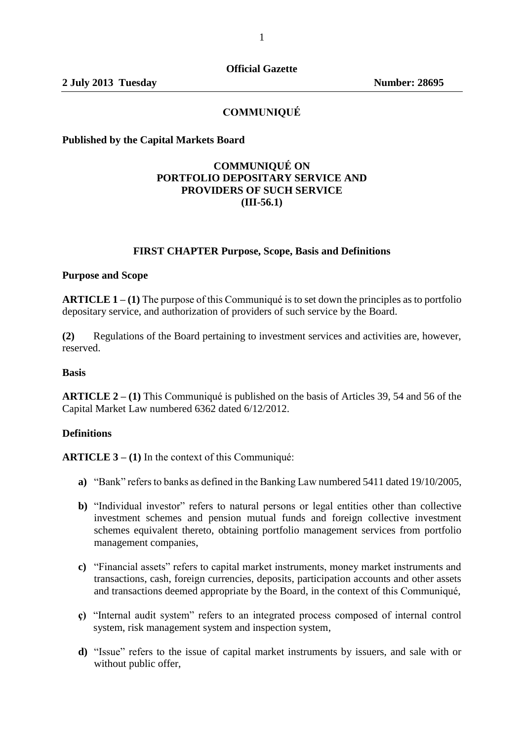# **COMMUNIQUÉ**

**Published by the Capital Markets Board** 

# **COMMUNIQUÉ ON PORTFOLIO DEPOSITARY SERVICE AND PROVIDERS OF SUCH SERVICE (III-56.1)**

### **FIRST CHAPTER Purpose, Scope, Basis and Definitions**

#### **Purpose and Scope**

**ARTICLE 1 – (1)** The purpose of this Communiqué is to set down the principles as to portfolio depositary service, and authorization of providers of such service by the Board.

**(2)** Regulations of the Board pertaining to investment services and activities are, however, reserved.

#### **Basis**

**ARTICLE 2 – (1)** This Communiqué is published on the basis of Articles 39, 54 and 56 of the Capital Market Law numbered 6362 dated 6/12/2012.

#### **Definitions**

**ARTICLE 3 – (1)** In the context of this Communiqué:

- **a)** "Bank" refers to banks as defined in the Banking Law numbered 5411 dated 19/10/2005,
- **b**) "Individual investor" refers to natural persons or legal entities other than collective investment schemes and pension mutual funds and foreign collective investment schemes equivalent thereto, obtaining portfolio management services from portfolio management companies,
- **c)** "Financial assets" refers to capital market instruments, money market instruments and transactions, cash, foreign currencies, deposits, participation accounts and other assets and transactions deemed appropriate by the Board, in the context of this Communiqué,
- **ç)** "Internal audit system" refers to an integrated process composed of internal control system, risk management system and inspection system,
- **d)** "Issue" refers to the issue of capital market instruments by issuers, and sale with or without public offer,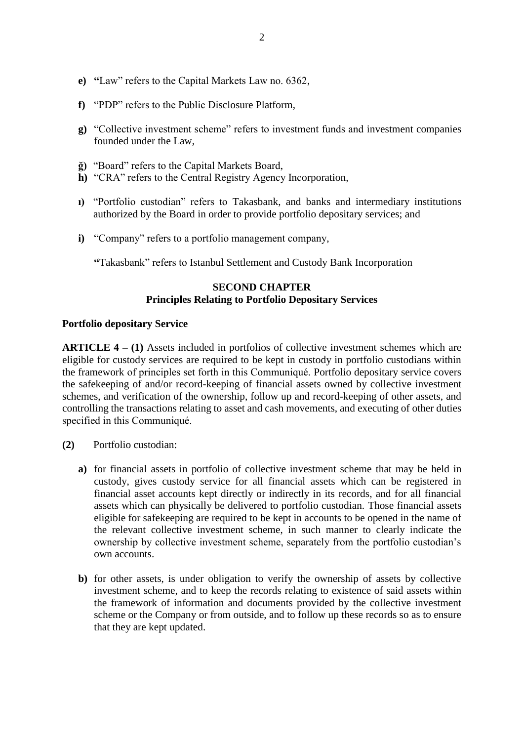- **e) "**Law" refers to the Capital Markets Law no. 6362,
- **f)** "PDP" refers to the Public Disclosure Platform,
- **g)** "Collective investment scheme" refers to investment funds and investment companies founded under the Law,
- **ğ)** "Board" refers to the Capital Markets Board,
- **h)** "CRA" refers to the Central Registry Agency Incorporation,
- **ı)** "Portfolio custodian" refers to Takasbank, and banks and intermediary institutions authorized by the Board in order to provide portfolio depositary services; and
- **i)** "Company" refers to a portfolio management company,

**"**Takasbank" refers to Istanbul Settlement and Custody Bank Incorporation

# **SECOND CHAPTER Principles Relating to Portfolio Depositary Services**

# **Portfolio depositary Service**

**ARTICLE 4 – (1)** Assets included in portfolios of collective investment schemes which are eligible for custody services are required to be kept in custody in portfolio custodians within the framework of principles set forth in this Communiqué. Portfolio depositary service covers the safekeeping of and/or record-keeping of financial assets owned by collective investment schemes, and verification of the ownership, follow up and record-keeping of other assets, and controlling the transactions relating to asset and cash movements, and executing of other duties specified in this Communiqué.

- **(2)** Portfolio custodian:
	- **a)** for financial assets in portfolio of collective investment scheme that may be held in custody, gives custody service for all financial assets which can be registered in financial asset accounts kept directly or indirectly in its records, and for all financial assets which can physically be delivered to portfolio custodian. Those financial assets eligible for safekeeping are required to be kept in accounts to be opened in the name of the relevant collective investment scheme, in such manner to clearly indicate the ownership by collective investment scheme, separately from the portfolio custodian's own accounts.
	- **b)** for other assets, is under obligation to verify the ownership of assets by collective investment scheme, and to keep the records relating to existence of said assets within the framework of information and documents provided by the collective investment scheme or the Company or from outside, and to follow up these records so as to ensure that they are kept updated.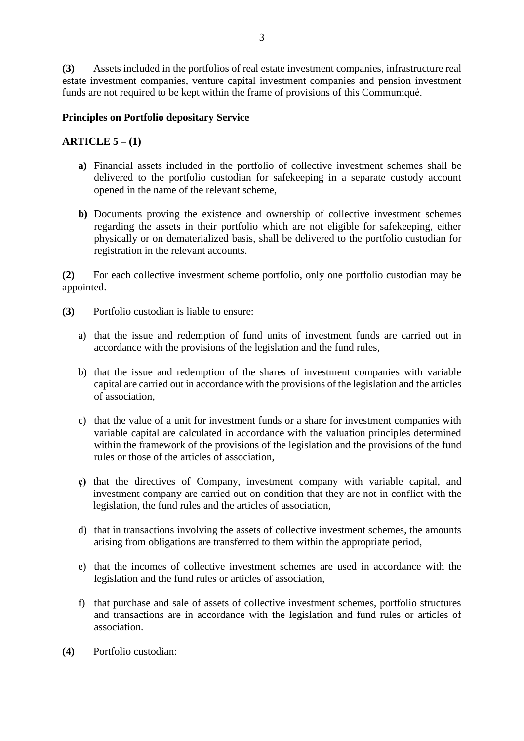**(3)** Assets included in the portfolios of real estate investment companies, infrastructure real estate investment companies, venture capital investment companies and pension investment funds are not required to be kept within the frame of provisions of this Communiqué.

## **Principles on Portfolio depositary Service**

## **ARTICLE 5 – (1)**

- **a)** Financial assets included in the portfolio of collective investment schemes shall be delivered to the portfolio custodian for safekeeping in a separate custody account opened in the name of the relevant scheme,
- **b)** Documents proving the existence and ownership of collective investment schemes regarding the assets in their portfolio which are not eligible for safekeeping, either physically or on dematerialized basis, shall be delivered to the portfolio custodian for registration in the relevant accounts.

**(2)** For each collective investment scheme portfolio, only one portfolio custodian may be appointed.

- **(3)** Portfolio custodian is liable to ensure:
	- a) that the issue and redemption of fund units of investment funds are carried out in accordance with the provisions of the legislation and the fund rules,
	- b) that the issue and redemption of the shares of investment companies with variable capital are carried out in accordance with the provisions of the legislation and the articles of association,
	- c) that the value of a unit for investment funds or a share for investment companies with variable capital are calculated in accordance with the valuation principles determined within the framework of the provisions of the legislation and the provisions of the fund rules or those of the articles of association,
	- **ç)** that the directives of Company, investment company with variable capital, and investment company are carried out on condition that they are not in conflict with the legislation, the fund rules and the articles of association,
	- d) that in transactions involving the assets of collective investment schemes, the amounts arising from obligations are transferred to them within the appropriate period,
	- e) that the incomes of collective investment schemes are used in accordance with the legislation and the fund rules or articles of association,
	- f) that purchase and sale of assets of collective investment schemes, portfolio structures and transactions are in accordance with the legislation and fund rules or articles of association.
- **(4)** Portfolio custodian: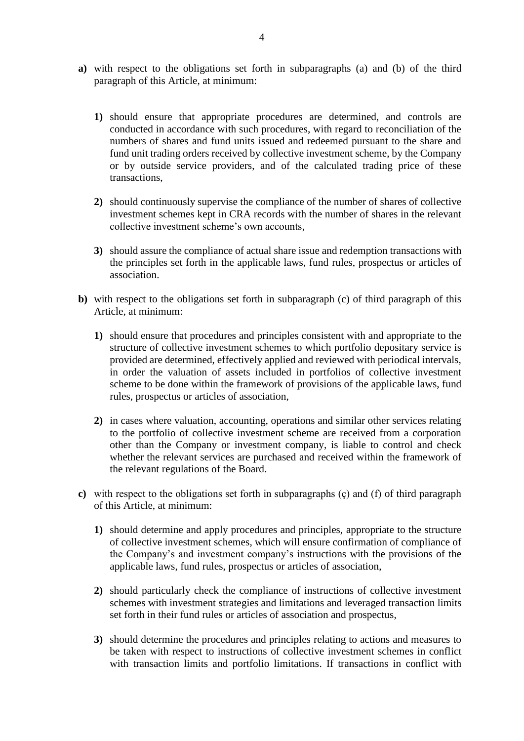- **a)** with respect to the obligations set forth in subparagraphs (a) and (b) of the third paragraph of this Article, at minimum:
	- **1)** should ensure that appropriate procedures are determined, and controls are conducted in accordance with such procedures, with regard to reconciliation of the numbers of shares and fund units issued and redeemed pursuant to the share and fund unit trading orders received by collective investment scheme, by the Company or by outside service providers, and of the calculated trading price of these transactions,
	- **2)** should continuously supervise the compliance of the number of shares of collective investment schemes kept in CRA records with the number of shares in the relevant collective investment scheme's own accounts,
	- **3)** should assure the compliance of actual share issue and redemption transactions with the principles set forth in the applicable laws, fund rules, prospectus or articles of association.
- **b)** with respect to the obligations set forth in subparagraph (c) of third paragraph of this Article, at minimum:
	- **1)** should ensure that procedures and principles consistent with and appropriate to the structure of collective investment schemes to which portfolio depositary service is provided are determined, effectively applied and reviewed with periodical intervals, in order the valuation of assets included in portfolios of collective investment scheme to be done within the framework of provisions of the applicable laws, fund rules, prospectus or articles of association,
	- **2)** in cases where valuation, accounting, operations and similar other services relating to the portfolio of collective investment scheme are received from a corporation other than the Company or investment company, is liable to control and check whether the relevant services are purchased and received within the framework of the relevant regulations of the Board.
- **c)** with respect to the obligations set forth in subparagraphs (ç) and (f) of third paragraph of this Article, at minimum:
	- **1)** should determine and apply procedures and principles, appropriate to the structure of collective investment schemes, which will ensure confirmation of compliance of the Company's and investment company's instructions with the provisions of the applicable laws, fund rules, prospectus or articles of association,
	- **2)** should particularly check the compliance of instructions of collective investment schemes with investment strategies and limitations and leveraged transaction limits set forth in their fund rules or articles of association and prospectus,
	- **3)** should determine the procedures and principles relating to actions and measures to be taken with respect to instructions of collective investment schemes in conflict with transaction limits and portfolio limitations. If transactions in conflict with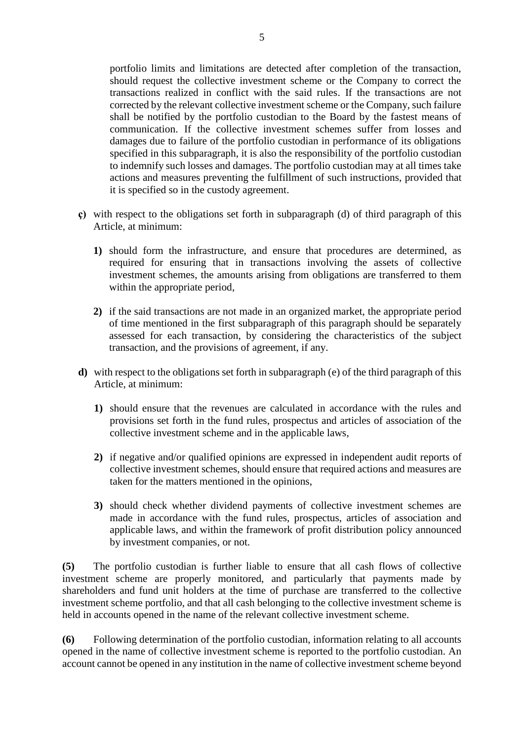portfolio limits and limitations are detected after completion of the transaction, should request the collective investment scheme or the Company to correct the transactions realized in conflict with the said rules. If the transactions are not corrected by the relevant collective investment scheme or the Company, such failure shall be notified by the portfolio custodian to the Board by the fastest means of communication. If the collective investment schemes suffer from losses and damages due to failure of the portfolio custodian in performance of its obligations specified in this subparagraph, it is also the responsibility of the portfolio custodian to indemnify such losses and damages. The portfolio custodian may at all times take actions and measures preventing the fulfillment of such instructions, provided that it is specified so in the custody agreement.

- **ç)** with respect to the obligations set forth in subparagraph (d) of third paragraph of this Article, at minimum:
	- **1)** should form the infrastructure, and ensure that procedures are determined, as required for ensuring that in transactions involving the assets of collective investment schemes, the amounts arising from obligations are transferred to them within the appropriate period,
	- **2)** if the said transactions are not made in an organized market, the appropriate period of time mentioned in the first subparagraph of this paragraph should be separately assessed for each transaction, by considering the characteristics of the subject transaction, and the provisions of agreement, if any.
- **d)** with respect to the obligations set forth in subparagraph (e) of the third paragraph of this Article, at minimum:
	- **1)** should ensure that the revenues are calculated in accordance with the rules and provisions set forth in the fund rules, prospectus and articles of association of the collective investment scheme and in the applicable laws,
	- **2)** if negative and/or qualified opinions are expressed in independent audit reports of collective investment schemes, should ensure that required actions and measures are taken for the matters mentioned in the opinions,
	- **3)** should check whether dividend payments of collective investment schemes are made in accordance with the fund rules, prospectus, articles of association and applicable laws, and within the framework of profit distribution policy announced by investment companies, or not.

**(5)** The portfolio custodian is further liable to ensure that all cash flows of collective investment scheme are properly monitored, and particularly that payments made by shareholders and fund unit holders at the time of purchase are transferred to the collective investment scheme portfolio, and that all cash belonging to the collective investment scheme is held in accounts opened in the name of the relevant collective investment scheme.

**(6)** Following determination of the portfolio custodian, information relating to all accounts opened in the name of collective investment scheme is reported to the portfolio custodian. An account cannot be opened in any institution in the name of collective investment scheme beyond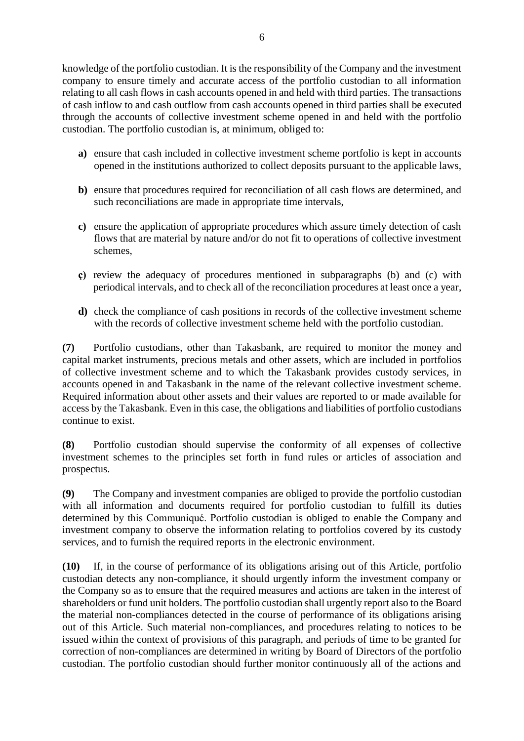knowledge of the portfolio custodian. It is the responsibility of the Company and the investment company to ensure timely and accurate access of the portfolio custodian to all information relating to all cash flows in cash accounts opened in and held with third parties. The transactions of cash inflow to and cash outflow from cash accounts opened in third parties shall be executed through the accounts of collective investment scheme opened in and held with the portfolio custodian. The portfolio custodian is, at minimum, obliged to:

- **a)** ensure that cash included in collective investment scheme portfolio is kept in accounts opened in the institutions authorized to collect deposits pursuant to the applicable laws,
- **b)** ensure that procedures required for reconciliation of all cash flows are determined, and such reconciliations are made in appropriate time intervals,
- **c)** ensure the application of appropriate procedures which assure timely detection of cash flows that are material by nature and/or do not fit to operations of collective investment schemes,
- **ç)** review the adequacy of procedures mentioned in subparagraphs (b) and (c) with periodical intervals, and to check all of the reconciliation procedures at least once a year,
- **d)** check the compliance of cash positions in records of the collective investment scheme with the records of collective investment scheme held with the portfolio custodian.

**(7)** Portfolio custodians, other than Takasbank, are required to monitor the money and capital market instruments, precious metals and other assets, which are included in portfolios of collective investment scheme and to which the Takasbank provides custody services, in accounts opened in and Takasbank in the name of the relevant collective investment scheme. Required information about other assets and their values are reported to or made available for access by the Takasbank. Even in this case, the obligations and liabilities of portfolio custodians continue to exist.

**(8)** Portfolio custodian should supervise the conformity of all expenses of collective investment schemes to the principles set forth in fund rules or articles of association and prospectus.

**(9)** The Company and investment companies are obliged to provide the portfolio custodian with all information and documents required for portfolio custodian to fulfill its duties determined by this Communiqué. Portfolio custodian is obliged to enable the Company and investment company to observe the information relating to portfolios covered by its custody services, and to furnish the required reports in the electronic environment.

**(10)** If, in the course of performance of its obligations arising out of this Article, portfolio custodian detects any non-compliance, it should urgently inform the investment company or the Company so as to ensure that the required measures and actions are taken in the interest of shareholders or fund unit holders. The portfolio custodian shall urgently report also to the Board the material non-compliances detected in the course of performance of its obligations arising out of this Article. Such material non-compliances, and procedures relating to notices to be issued within the context of provisions of this paragraph, and periods of time to be granted for correction of non-compliances are determined in writing by Board of Directors of the portfolio custodian. The portfolio custodian should further monitor continuously all of the actions and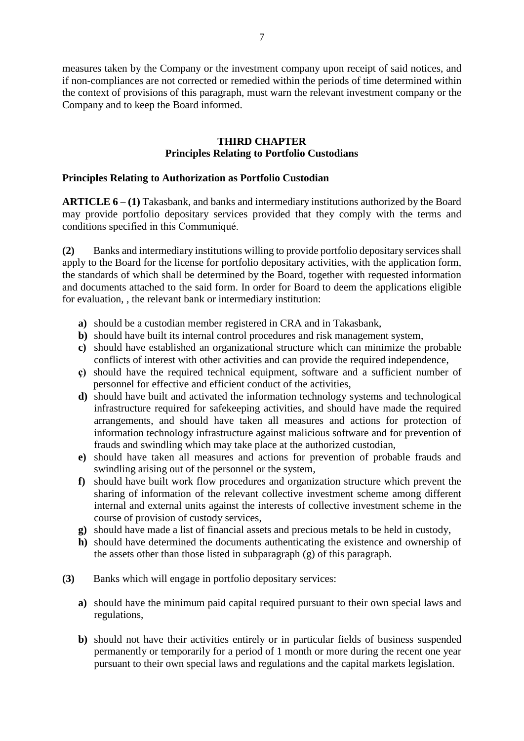measures taken by the Company or the investment company upon receipt of said notices, and if non-compliances are not corrected or remedied within the periods of time determined within the context of provisions of this paragraph, must warn the relevant investment company or the Company and to keep the Board informed.

### **THIRD CHAPTER Principles Relating to Portfolio Custodians**

## **Principles Relating to Authorization as Portfolio Custodian**

**ARTICLE 6 – (1)** Takasbank, and banks and intermediary institutions authorized by the Board may provide portfolio depositary services provided that they comply with the terms and conditions specified in this Communiqué.

**(2)** Banks and intermediary institutions willing to provide portfolio depositary services shall apply to the Board for the license for portfolio depositary activities, with the application form, the standards of which shall be determined by the Board, together with requested information and documents attached to the said form. In order for Board to deem the applications eligible for evaluation, , the relevant bank or intermediary institution:

- **a)** should be a custodian member registered in CRA and in Takasbank,
- **b)** should have built its internal control procedures and risk management system,
- **c)** should have established an organizational structure which can minimize the probable conflicts of interest with other activities and can provide the required independence,
- **ç)** should have the required technical equipment, software and a sufficient number of personnel for effective and efficient conduct of the activities,
- **d)** should have built and activated the information technology systems and technological infrastructure required for safekeeping activities, and should have made the required arrangements, and should have taken all measures and actions for protection of information technology infrastructure against malicious software and for prevention of frauds and swindling which may take place at the authorized custodian,
- **e)** should have taken all measures and actions for prevention of probable frauds and swindling arising out of the personnel or the system,
- **f)** should have built work flow procedures and organization structure which prevent the sharing of information of the relevant collective investment scheme among different internal and external units against the interests of collective investment scheme in the course of provision of custody services,
- **g)** should have made a list of financial assets and precious metals to be held in custody,
- **h)** should have determined the documents authenticating the existence and ownership of the assets other than those listed in subparagraph (g) of this paragraph.
- **(3)** Banks which will engage in portfolio depositary services:
	- **a)** should have the minimum paid capital required pursuant to their own special laws and regulations,
	- **b)** should not have their activities entirely or in particular fields of business suspended permanently or temporarily for a period of 1 month or more during the recent one year pursuant to their own special laws and regulations and the capital markets legislation.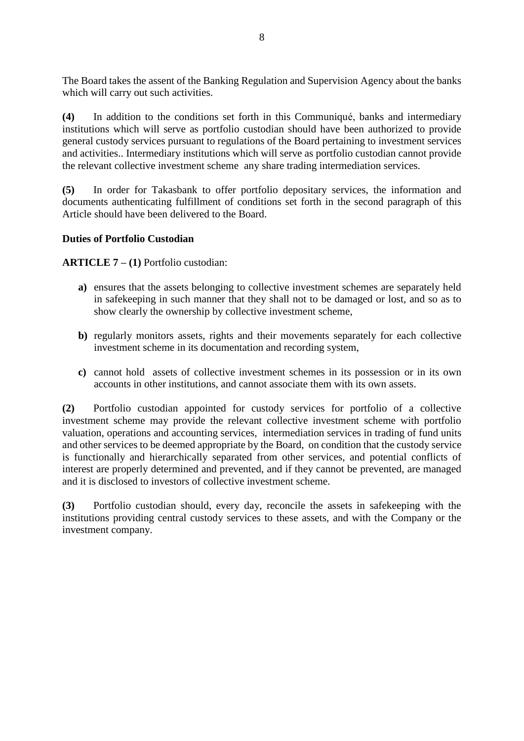The Board takes the assent of the Banking Regulation and Supervision Agency about the banks which will carry out such activities.

**(4)** In addition to the conditions set forth in this Communiqué, banks and intermediary institutions which will serve as portfolio custodian should have been authorized to provide general custody services pursuant to regulations of the Board pertaining to investment services and activities.. Intermediary institutions which will serve as portfolio custodian cannot provide the relevant collective investment scheme any share trading intermediation services.

**(5)** In order for Takasbank to offer portfolio depositary services, the information and documents authenticating fulfillment of conditions set forth in the second paragraph of this Article should have been delivered to the Board.

# **Duties of Portfolio Custodian**

**ARTICLE 7 – (1)** Portfolio custodian:

- **a)** ensures that the assets belonging to collective investment schemes are separately held in safekeeping in such manner that they shall not to be damaged or lost, and so as to show clearly the ownership by collective investment scheme,
- **b)** regularly monitors assets, rights and their movements separately for each collective investment scheme in its documentation and recording system,
- **c)** cannot hold assets of collective investment schemes in its possession or in its own accounts in other institutions, and cannot associate them with its own assets.

**(2)** Portfolio custodian appointed for custody services for portfolio of a collective investment scheme may provide the relevant collective investment scheme with portfolio valuation, operations and accounting services, intermediation services in trading of fund units and other services to be deemed appropriate by the Board, on condition that the custody service is functionally and hierarchically separated from other services, and potential conflicts of interest are properly determined and prevented, and if they cannot be prevented, are managed and it is disclosed to investors of collective investment scheme.

**(3)** Portfolio custodian should, every day, reconcile the assets in safekeeping with the institutions providing central custody services to these assets, and with the Company or the investment company.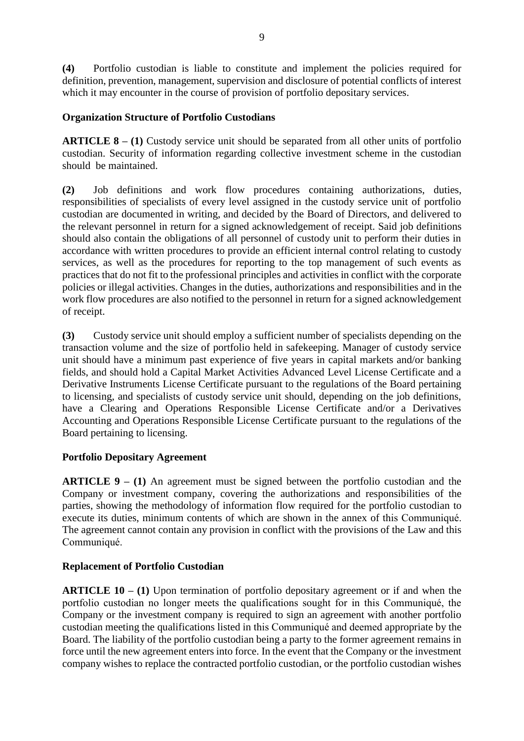**(4)** Portfolio custodian is liable to constitute and implement the policies required for definition, prevention, management, supervision and disclosure of potential conflicts of interest which it may encounter in the course of provision of portfolio depositary services.

# **Organization Structure of Portfolio Custodians**

**ARTICLE 8** – (1) Custody service unit should be separated from all other units of portfolio custodian. Security of information regarding collective investment scheme in the custodian should be maintained.

**(2)** Job definitions and work flow procedures containing authorizations, duties, responsibilities of specialists of every level assigned in the custody service unit of portfolio custodian are documented in writing, and decided by the Board of Directors, and delivered to the relevant personnel in return for a signed acknowledgement of receipt. Said job definitions should also contain the obligations of all personnel of custody unit to perform their duties in accordance with written procedures to provide an efficient internal control relating to custody services, as well as the procedures for reporting to the top management of such events as practices that do not fit to the professional principles and activities in conflict with the corporate policies or illegal activities. Changes in the duties, authorizations and responsibilities and in the work flow procedures are also notified to the personnel in return for a signed acknowledgement of receipt.

**(3)** Custody service unit should employ a sufficient number of specialists depending on the transaction volume and the size of portfolio held in safekeeping. Manager of custody service unit should have a minimum past experience of five years in capital markets and/or banking fields, and should hold a Capital Market Activities Advanced Level License Certificate and a Derivative Instruments License Certificate pursuant to the regulations of the Board pertaining to licensing, and specialists of custody service unit should, depending on the job definitions, have a Clearing and Operations Responsible License Certificate and/or a Derivatives Accounting and Operations Responsible License Certificate pursuant to the regulations of the Board pertaining to licensing.

# **Portfolio Depositary Agreement**

**ARTICLE 9 – (1)** An agreement must be signed between the portfolio custodian and the Company or investment company, covering the authorizations and responsibilities of the parties, showing the methodology of information flow required for the portfolio custodian to execute its duties, minimum contents of which are shown in the annex of this Communiqué. The agreement cannot contain any provision in conflict with the provisions of the Law and this Communiqué.

# **Replacement of Portfolio Custodian**

**ARTICLE 10 – (1)** Upon termination of portfolio depositary agreement or if and when the portfolio custodian no longer meets the qualifications sought for in this Communiqué, the Company or the investment company is required to sign an agreement with another portfolio custodian meeting the qualifications listed in this Communiqué and deemed appropriate by the Board. The liability of the portfolio custodian being a party to the former agreement remains in force until the new agreement enters into force. In the event that the Company or the investment company wishes to replace the contracted portfolio custodian, or the portfolio custodian wishes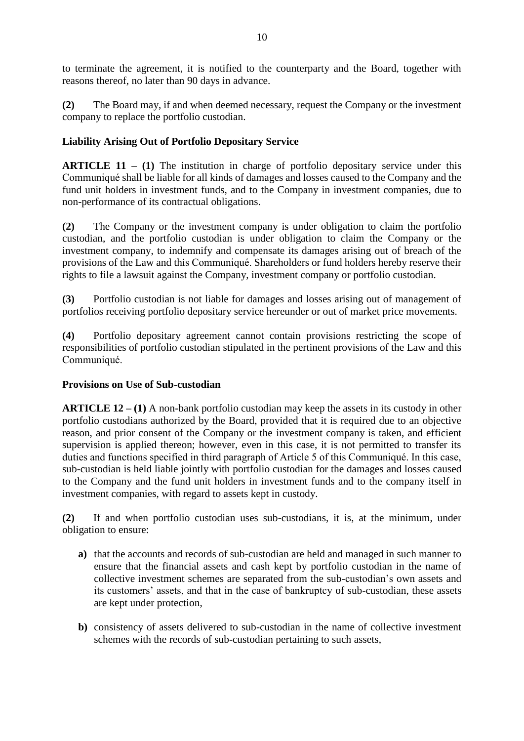to terminate the agreement, it is notified to the counterparty and the Board, together with reasons thereof, no later than 90 days in advance.

**(2)** The Board may, if and when deemed necessary, request the Company or the investment company to replace the portfolio custodian.

# **Liability Arising Out of Portfolio Depositary Service**

**ARTICLE 11 – (1)** The institution in charge of portfolio depositary service under this Communiqué shall be liable for all kinds of damages and losses caused to the Company and the fund unit holders in investment funds, and to the Company in investment companies, due to non-performance of its contractual obligations.

**(2)** The Company or the investment company is under obligation to claim the portfolio custodian, and the portfolio custodian is under obligation to claim the Company or the investment company, to indemnify and compensate its damages arising out of breach of the provisions of the Law and this Communiqué. Shareholders or fund holders hereby reserve their rights to file a lawsuit against the Company, investment company or portfolio custodian.

**(3)** Portfolio custodian is not liable for damages and losses arising out of management of portfolios receiving portfolio depositary service hereunder or out of market price movements.

**(4)** Portfolio depositary agreement cannot contain provisions restricting the scope of responsibilities of portfolio custodian stipulated in the pertinent provisions of the Law and this Communiqué.

# **Provisions on Use of Sub-custodian**

**ARTICLE 12 – (1)** A non-bank portfolio custodian may keep the assets in its custody in other portfolio custodians authorized by the Board, provided that it is required due to an objective reason, and prior consent of the Company or the investment company is taken, and efficient supervision is applied thereon; however, even in this case, it is not permitted to transfer its duties and functions specified in third paragraph of Article 5 of this Communiqué. In this case, sub-custodian is held liable jointly with portfolio custodian for the damages and losses caused to the Company and the fund unit holders in investment funds and to the company itself in investment companies, with regard to assets kept in custody.

**(2)** If and when portfolio custodian uses sub-custodians, it is, at the minimum, under obligation to ensure:

- **a)** that the accounts and records of sub-custodian are held and managed in such manner to ensure that the financial assets and cash kept by portfolio custodian in the name of collective investment schemes are separated from the sub-custodian's own assets and its customers' assets, and that in the case of bankruptcy of sub-custodian, these assets are kept under protection,
- **b)** consistency of assets delivered to sub-custodian in the name of collective investment schemes with the records of sub-custodian pertaining to such assets,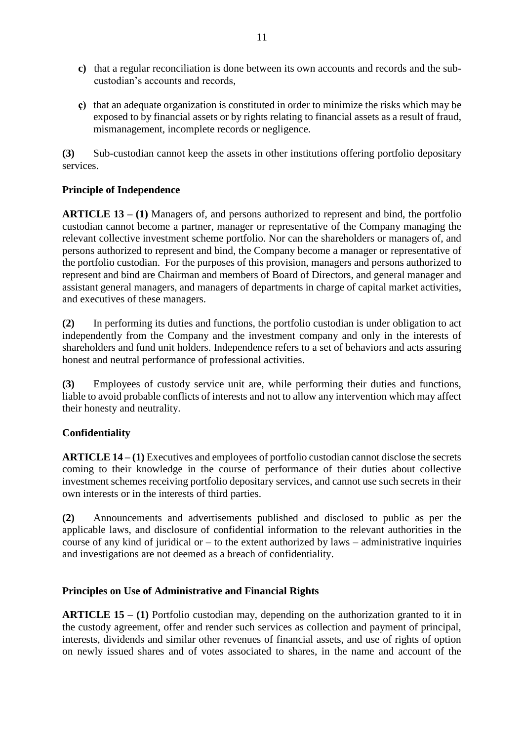- **c)** that a regular reconciliation is done between its own accounts and records and the subcustodian's accounts and records,
- **ç)** that an adequate organization is constituted in order to minimize the risks which may be exposed to by financial assets or by rights relating to financial assets as a result of fraud, mismanagement, incomplete records or negligence.

**(3)** Sub-custodian cannot keep the assets in other institutions offering portfolio depositary services.

# **Principle of Independence**

**ARTICLE 13 – (1)** Managers of, and persons authorized to represent and bind, the portfolio custodian cannot become a partner, manager or representative of the Company managing the relevant collective investment scheme portfolio. Nor can the shareholders or managers of, and persons authorized to represent and bind, the Company become a manager or representative of the portfolio custodian. For the purposes of this provision, managers and persons authorized to represent and bind are Chairman and members of Board of Directors, and general manager and assistant general managers, and managers of departments in charge of capital market activities, and executives of these managers.

**(2)** In performing its duties and functions, the portfolio custodian is under obligation to act independently from the Company and the investment company and only in the interests of shareholders and fund unit holders. Independence refers to a set of behaviors and acts assuring honest and neutral performance of professional activities.

**(3)** Employees of custody service unit are, while performing their duties and functions, liable to avoid probable conflicts of interests and not to allow any intervention which may affect their honesty and neutrality.

# **Confidentiality**

**ARTICLE 14 – (1)** Executives and employees of portfolio custodian cannot disclose the secrets coming to their knowledge in the course of performance of their duties about collective investment schemes receiving portfolio depositary services, and cannot use such secrets in their own interests or in the interests of third parties.

**(2)** Announcements and advertisements published and disclosed to public as per the applicable laws, and disclosure of confidential information to the relevant authorities in the course of any kind of juridical or  $-$  to the extent authorized by laws  $-$  administrative inquiries and investigations are not deemed as a breach of confidentiality.

# **Principles on Use of Administrative and Financial Rights**

**ARTICLE 15 – (1)** Portfolio custodian may, depending on the authorization granted to it in the custody agreement, offer and render such services as collection and payment of principal, interests, dividends and similar other revenues of financial assets, and use of rights of option on newly issued shares and of votes associated to shares, in the name and account of the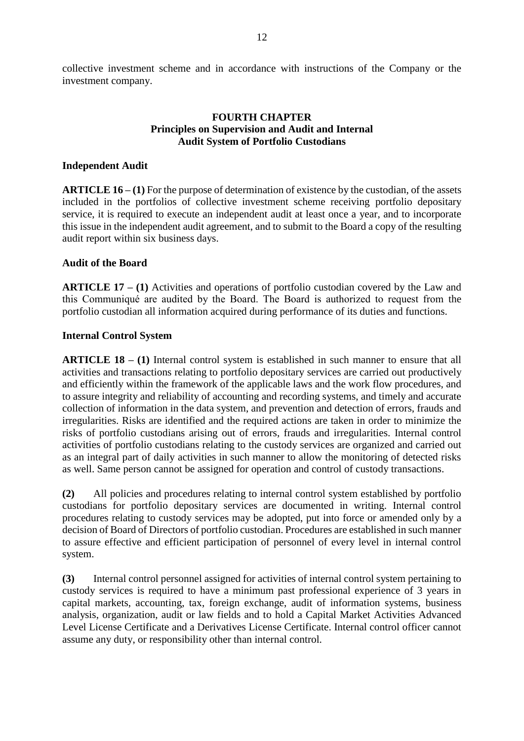collective investment scheme and in accordance with instructions of the Company or the investment company.

### **FOURTH CHAPTER Principles on Supervision and Audit and Internal Audit System of Portfolio Custodians**

### **Independent Audit**

**ARTICLE 16 – (1)** For the purpose of determination of existence by the custodian, of the assets included in the portfolios of collective investment scheme receiving portfolio depositary service, it is required to execute an independent audit at least once a year, and to incorporate this issue in the independent audit agreement, and to submit to the Board a copy of the resulting audit report within six business days.

### **Audit of the Board**

**ARTICLE 17 – (1)** Activities and operations of portfolio custodian covered by the Law and this Communiqué are audited by the Board. The Board is authorized to request from the portfolio custodian all information acquired during performance of its duties and functions.

### **Internal Control System**

**ARTICLE 18 – (1)** Internal control system is established in such manner to ensure that all activities and transactions relating to portfolio depositary services are carried out productively and efficiently within the framework of the applicable laws and the work flow procedures, and to assure integrity and reliability of accounting and recording systems, and timely and accurate collection of information in the data system, and prevention and detection of errors, frauds and irregularities. Risks are identified and the required actions are taken in order to minimize the risks of portfolio custodians arising out of errors, frauds and irregularities. Internal control activities of portfolio custodians relating to the custody services are organized and carried out as an integral part of daily activities in such manner to allow the monitoring of detected risks as well. Same person cannot be assigned for operation and control of custody transactions.

**(2)** All policies and procedures relating to internal control system established by portfolio custodians for portfolio depositary services are documented in writing. Internal control procedures relating to custody services may be adopted, put into force or amended only by a decision of Board of Directors of portfolio custodian. Procedures are established in such manner to assure effective and efficient participation of personnel of every level in internal control system.

**(3)** Internal control personnel assigned for activities of internal control system pertaining to custody services is required to have a minimum past professional experience of 3 years in capital markets, accounting, tax, foreign exchange, audit of information systems, business analysis, organization, audit or law fields and to hold a Capital Market Activities Advanced Level License Certificate and a Derivatives License Certificate. Internal control officer cannot assume any duty, or responsibility other than internal control.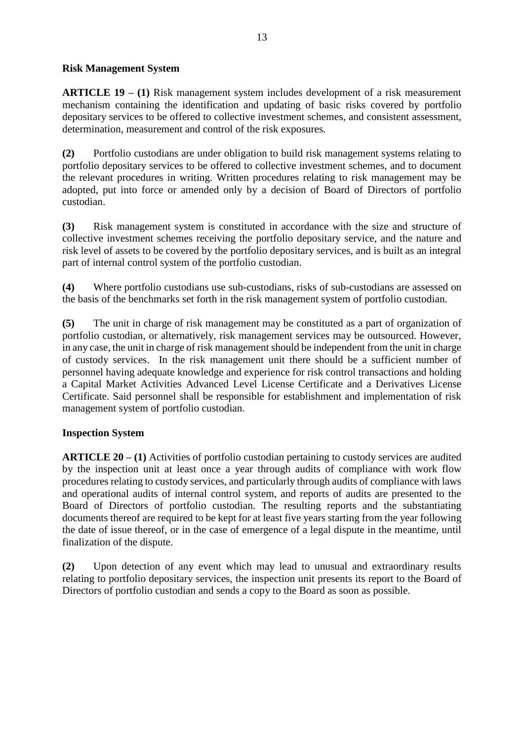## **Risk Management System**

**ARTICLE 19 – (1)** Risk management system includes development of a risk measurement mechanism containing the identification and updating of basic risks covered by portfolio depositary services to be offered to collective investment schemes, and consistent assessment, determination, measurement and control of the risk exposures.

**(2)** Portfolio custodians are under obligation to build risk management systems relating to portfolio depositary services to be offered to collective investment schemes, and to document the relevant procedures in writing. Written procedures relating to risk management may be adopted, put into force or amended only by a decision of Board of Directors of portfolio custodian.

**(3)** Risk management system is constituted in accordance with the size and structure of collective investment schemes receiving the portfolio depositary service, and the nature and risk level of assets to be covered by the portfolio depositary services, and is built as an integral part of internal control system of the portfolio custodian.

**(4)** Where portfolio custodians use sub-custodians, risks of sub-custodians are assessed on the basis of the benchmarks set forth in the risk management system of portfolio custodian.

**(5)** The unit in charge of risk management may be constituted as a part of organization of portfolio custodian, or alternatively, risk management services may be outsourced. However, in any case, the unit in charge of risk management should be independent from the unit in charge of custody services. In the risk management unit there should be a sufficient number of personnel having adequate knowledge and experience for risk control transactions and holding a Capital Market Activities Advanced Level License Certificate and a Derivatives License Certificate. Said personnel shall be responsible for establishment and implementation of risk management system of portfolio custodian.

# **Inspection System**

**ARTICLE 20 – (1)** Activities of portfolio custodian pertaining to custody services are audited by the inspection unit at least once a year through audits of compliance with work flow procedures relating to custody services, and particularly through audits of compliance with laws and operational audits of internal control system, and reports of audits are presented to the Board of Directors of portfolio custodian. The resulting reports and the substantiating documents thereof are required to be kept for at least five years starting from the year following the date of issue thereof, or in the case of emergence of a legal dispute in the meantime, until finalization of the dispute.

**(2)** Upon detection of any event which may lead to unusual and extraordinary results relating to portfolio depositary services, the inspection unit presents its report to the Board of Directors of portfolio custodian and sends a copy to the Board as soon as possible.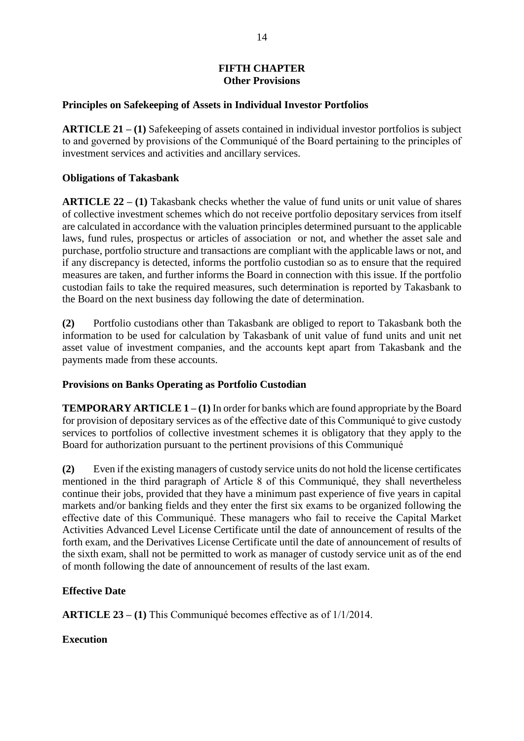# **FIFTH CHAPTER Other Provisions**

## **Principles on Safekeeping of Assets in Individual Investor Portfolios**

**ARTICLE 21 – (1)** Safekeeping of assets contained in individual investor portfolios is subject to and governed by provisions of the Communiqué of the Board pertaining to the principles of investment services and activities and ancillary services.

## **Obligations of Takasbank**

**ARTICLE 22 – (1)** Takasbank checks whether the value of fund units or unit value of shares of collective investment schemes which do not receive portfolio depositary services from itself are calculated in accordance with the valuation principles determined pursuant to the applicable laws, fund rules, prospectus or articles of association or not, and whether the asset sale and purchase, portfolio structure and transactions are compliant with the applicable laws or not, and if any discrepancy is detected, informs the portfolio custodian so as to ensure that the required measures are taken, and further informs the Board in connection with this issue. If the portfolio custodian fails to take the required measures, such determination is reported by Takasbank to the Board on the next business day following the date of determination.

**(2)** Portfolio custodians other than Takasbank are obliged to report to Takasbank both the information to be used for calculation by Takasbank of unit value of fund units and unit net asset value of investment companies, and the accounts kept apart from Takasbank and the payments made from these accounts.

# **Provisions on Banks Operating as Portfolio Custodian**

**TEMPORARY ARTICLE 1 – (1)** In order for banks which are found appropriate by the Board for provision of depositary services as of the effective date of this Communiqué to give custody services to portfolios of collective investment schemes it is obligatory that they apply to the Board for authorization pursuant to the pertinent provisions of this Communiqué

**(2)** Even if the existing managers of custody service units do not hold the license certificates mentioned in the third paragraph of Article 8 of this Communiqué, they shall nevertheless continue their jobs, provided that they have a minimum past experience of five years in capital markets and/or banking fields and they enter the first six exams to be organized following the effective date of this Communiqué. These managers who fail to receive the Capital Market Activities Advanced Level License Certificate until the date of announcement of results of the forth exam, and the Derivatives License Certificate until the date of announcement of results of the sixth exam, shall not be permitted to work as manager of custody service unit as of the end of month following the date of announcement of results of the last exam.

# **Effective Date**

**ARTICLE 23 – (1)** This Communiqué becomes effective as of 1/1/2014.

**Execution**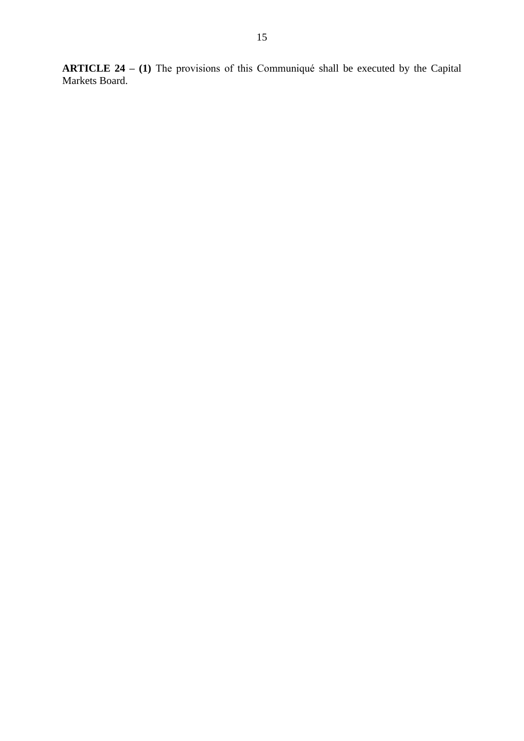**ARTICLE 24 – (1)** The provisions of this Communiqué shall be executed by the Capital Markets Board.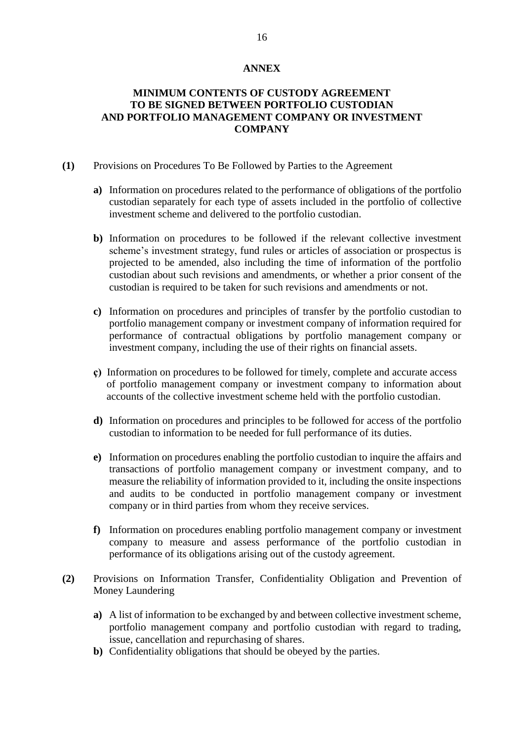### **ANNEX**

## **MINIMUM CONTENTS OF CUSTODY AGREEMENT TO BE SIGNED BETWEEN PORTFOLIO CUSTODIAN AND PORTFOLIO MANAGEMENT COMPANY OR INVESTMENT COMPANY**

- **(1)** Provisions on Procedures To Be Followed by Parties to the Agreement
	- **a)** Information on procedures related to the performance of obligations of the portfolio custodian separately for each type of assets included in the portfolio of collective investment scheme and delivered to the portfolio custodian.
	- **b)** Information on procedures to be followed if the relevant collective investment scheme's investment strategy, fund rules or articles of association or prospectus is projected to be amended, also including the time of information of the portfolio custodian about such revisions and amendments, or whether a prior consent of the custodian is required to be taken for such revisions and amendments or not.
	- **c)** Information on procedures and principles of transfer by the portfolio custodian to portfolio management company or investment company of information required for performance of contractual obligations by portfolio management company or investment company, including the use of their rights on financial assets.
	- **ç)** Information on procedures to be followed for timely, complete and accurate access of portfolio management company or investment company to information about accounts of the collective investment scheme held with the portfolio custodian.
	- **d)** Information on procedures and principles to be followed for access of the portfolio custodian to information to be needed for full performance of its duties.
	- **e)** Information on procedures enabling the portfolio custodian to inquire the affairs and transactions of portfolio management company or investment company, and to measure the reliability of information provided to it, including the onsite inspections and audits to be conducted in portfolio management company or investment company or in third parties from whom they receive services.
	- **f)** Information on procedures enabling portfolio management company or investment company to measure and assess performance of the portfolio custodian in performance of its obligations arising out of the custody agreement.
- **(2)** Provisions on Information Transfer, Confidentiality Obligation and Prevention of Money Laundering
	- **a)** A list of information to be exchanged by and between collective investment scheme, portfolio management company and portfolio custodian with regard to trading, issue, cancellation and repurchasing of shares.
	- **b)** Confidentiality obligations that should be obeyed by the parties.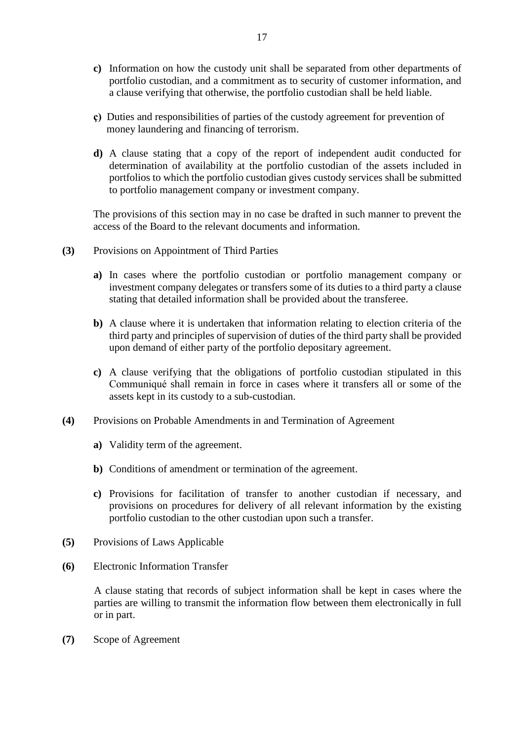- **c)** Information on how the custody unit shall be separated from other departments of portfolio custodian, and a commitment as to security of customer information, and a clause verifying that otherwise, the portfolio custodian shall be held liable.
- **ç)** Duties and responsibilities of parties of the custody agreement for prevention of money laundering and financing of terrorism.
- **d)** A clause stating that a copy of the report of independent audit conducted for determination of availability at the portfolio custodian of the assets included in portfolios to which the portfolio custodian gives custody services shall be submitted to portfolio management company or investment company.

The provisions of this section may in no case be drafted in such manner to prevent the access of the Board to the relevant documents and information.

- **(3)** Provisions on Appointment of Third Parties
	- **a)** In cases where the portfolio custodian or portfolio management company or investment company delegates or transfers some of its duties to a third party a clause stating that detailed information shall be provided about the transferee.
	- **b)** A clause where it is undertaken that information relating to election criteria of the third party and principles of supervision of duties of the third party shall be provided upon demand of either party of the portfolio depositary agreement.
	- **c)** A clause verifying that the obligations of portfolio custodian stipulated in this Communiqué shall remain in force in cases where it transfers all or some of the assets kept in its custody to a sub-custodian.
- **(4)** Provisions on Probable Amendments in and Termination of Agreement
	- **a)** Validity term of the agreement.
	- **b**) Conditions of amendment or termination of the agreement.
	- **c)** Provisions for facilitation of transfer to another custodian if necessary, and provisions on procedures for delivery of all relevant information by the existing portfolio custodian to the other custodian upon such a transfer.
- **(5)** Provisions of Laws Applicable
- **(6)** Electronic Information Transfer

A clause stating that records of subject information shall be kept in cases where the parties are willing to transmit the information flow between them electronically in full or in part.

**(7)** Scope of Agreement